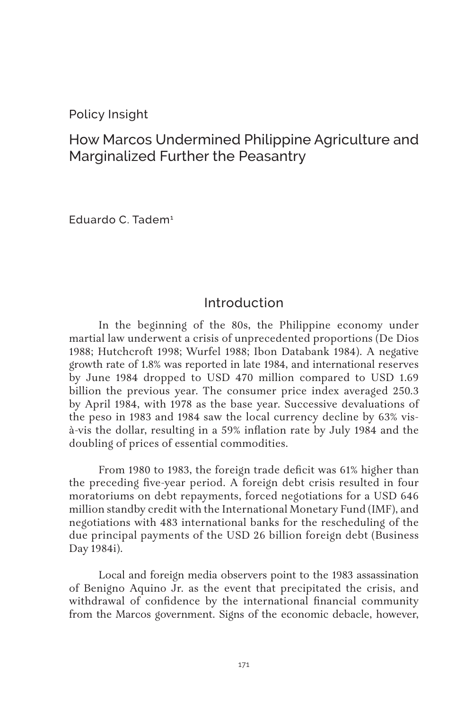#### Policy Insight

# How Marcos Undermined Philippine Agriculture and Marginalized Further the Peasantry

Eduardo C. Tadem<sup>1</sup>

#### Introduction

In the beginning of the 80s, the Philippine economy under martial law underwent a crisis of unprecedented proportions (De Dios 1988; Hutchcroft 1998; Wurfel 1988; Ibon Databank 1984). A negative growth rate of 1.8% was reported in late 1984, and international reserves by June 1984 dropped to USD 470 million compared to USD 1.69 billion the previous year. The consumer price index averaged 250.3 by April 1984, with 1978 as the base year. Successive devaluations of the peso in 1983 and 1984 saw the local currency decline by 63% visà-vis the dollar, resulting in a 59% inflation rate by July 1984 and the doubling of prices of essential commodities.

From 1980 to 1983, the foreign trade deficit was 61% higher than the preceding five-year period. A foreign debt crisis resulted in four moratoriums on debt repayments, forced negotiations for a USD 646 million standby credit with the International Monetary Fund (IMF), and negotiations with 483 international banks for the rescheduling of the due principal payments of the USD 26 billion foreign debt (Business Day 1984i).

Local and foreign media observers point to the 1983 assassination of Benigno Aquino Jr. as the event that precipitated the crisis, and withdrawal of confidence by the international financial community from the Marcos government. Signs of the economic debacle, however,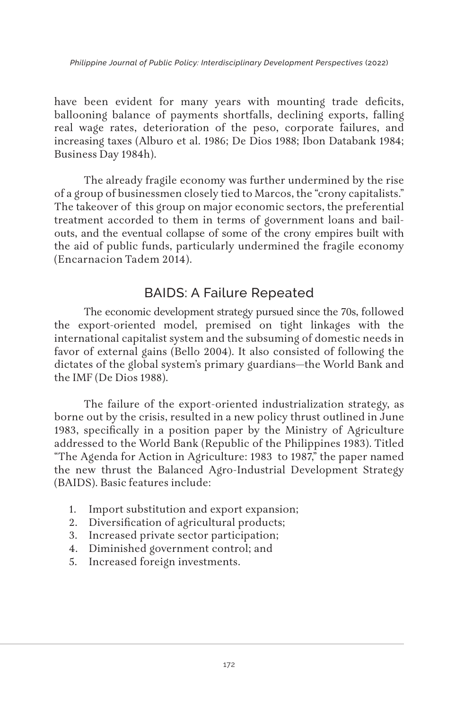*Philippine Journal of Public Policy: Interdisciplinary Development Perspectives* (2022)

have been evident for many years with mounting trade deficits, ballooning balance of payments shortfalls, declining exports, falling real wage rates, deterioration of the peso, corporate failures, and increasing taxes (Alburo et al. 1986; De Dios 1988; Ibon Databank 1984; Business Day 1984h).

The already fragile economy was further undermined by the rise of a group of businessmen closely tied to Marcos, the "crony capitalists." The takeover of this group on major economic sectors, the preferential treatment accorded to them in terms of government loans and bailouts, and the eventual collapse of some of the crony empires built with the aid of public funds, particularly undermined the fragile economy (Encarnacion Tadem 2014).

## BAIDS: A Failure Repeated

The economic development strategy pursued since the 70s, followed the export-oriented model, premised on tight linkages with the international capitalist system and the subsuming of domestic needs in favor of external gains (Bello 2004). It also consisted of following the dictates of the global system's primary guardians—the World Bank and the IMF (De Dios 1988).

The failure of the export-oriented industrialization strategy, as borne out by the crisis, resulted in a new policy thrust outlined in June 1983, specifically in a position paper by the Ministry of Agriculture addressed to the World Bank (Republic of the Philippines 1983). Titled "The Agenda for Action in Agriculture: 1983 to 1987," the paper named the new thrust the Balanced Agro-Industrial Development Strategy (BAIDS). Basic features include:

- 1. Import substitution and export expansion;
- 2. Diversification of agricultural products;
- 3. Increased private sector participation;
- 4. Diminished government control; and
- 5. Increased foreign investments.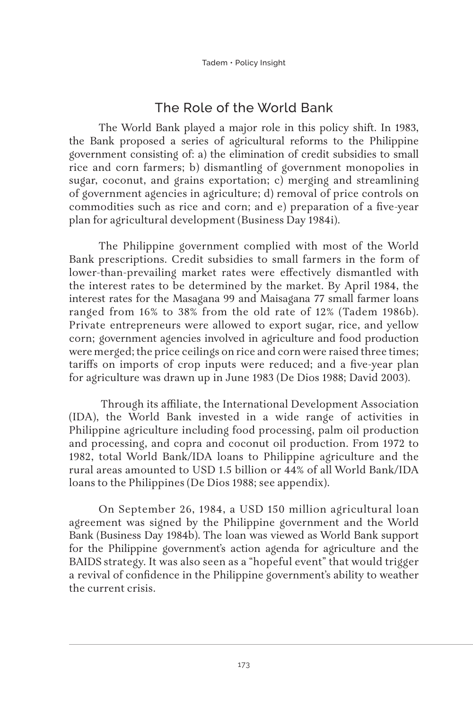# The Role of the World Bank

The World Bank played a major role in this policy shift. In 1983, the Bank proposed a series of agricultural reforms to the Philippine government consisting of: a) the elimination of credit subsidies to small rice and corn farmers; b) dismantling of government monopolies in sugar, coconut, and grains exportation; c) merging and streamlining of government agencies in agriculture; d) removal of price controls on commodities such as rice and corn; and e) preparation of a five-year plan for agricultural development (Business Day 1984i).

The Philippine government complied with most of the World Bank prescriptions. Credit subsidies to small farmers in the form of lower-than-prevailing market rates were effectively dismantled with the interest rates to be determined by the market. By April 1984, the interest rates for the Masagana 99 and Maisagana 77 small farmer loans ranged from 16% to 38% from the old rate of 12% (Tadem 1986b). Private entrepreneurs were allowed to export sugar, rice, and yellow corn; government agencies involved in agriculture and food production were merged; the price ceilings on rice and corn were raised three times; tariffs on imports of crop inputs were reduced; and a five-year plan for agriculture was drawn up in June 1983 (De Dios 1988; David 2003).

 Through its affiliate, the International Development Association (IDA), the World Bank invested in a wide range of activities in Philippine agriculture including food processing, palm oil production and processing, and copra and coconut oil production. From 1972 to 1982, total World Bank/IDA loans to Philippine agriculture and the rural areas amounted to USD 1.5 billion or 44% of all World Bank/IDA loans to the Philippines (De Dios 1988; see appendix).

On September 26, 1984, a USD 150 million agricultural loan agreement was signed by the Philippine government and the World Bank (Business Day 1984b). The loan was viewed as World Bank support for the Philippine government's action agenda for agriculture and the BAIDS strategy. It was also seen as a "hopeful event" that would trigger a revival of confidence in the Philippine government's ability to weather the current crisis.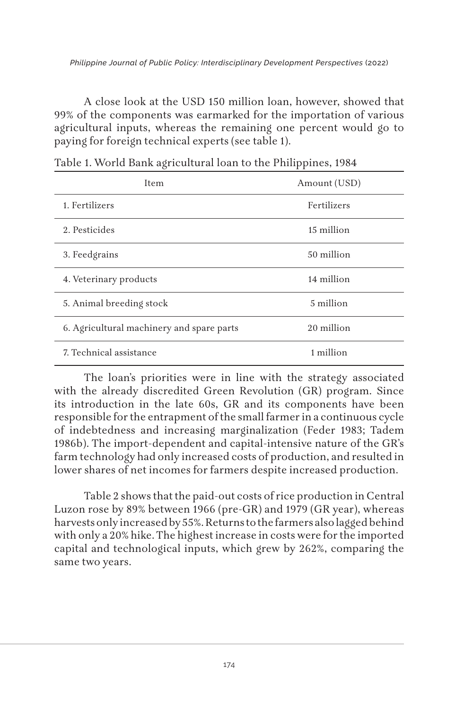A close look at the USD 150 million loan, however, showed that 99% of the components was earmarked for the importation of various agricultural inputs, whereas the remaining one percent would go to paying for foreign technical experts (see table 1).

| Item                                      | Amount (USD) |
|-------------------------------------------|--------------|
| 1. Fertilizers                            | Fertilizers  |
| 2. Pesticides                             | 15 million   |
| 3. Feedgrains                             | 50 million   |
| 4. Veterinary products                    | 14 million   |
| 5. Animal breeding stock                  | 5 million    |
| 6. Agricultural machinery and spare parts | 20 million   |
| 7. Technical assistance                   | 1 million    |

|  |  | Table 1. World Bank agricultural loan to the Philippines, 1984 |  |  |  |
|--|--|----------------------------------------------------------------|--|--|--|
|--|--|----------------------------------------------------------------|--|--|--|

The loan's priorities were in line with the strategy associated with the already discredited Green Revolution (GR) program. Since its introduction in the late 60s, GR and its components have been responsible for the entrapment of the small farmer in a continuous cycle of indebtedness and increasing marginalization (Feder 1983; Tadem 1986b). The import-dependent and capital-intensive nature of the GR's farm technology had only increased costs of production, and resulted in lower shares of net incomes for farmers despite increased production.

Table 2 shows that the paid-out costs of rice production in Central Luzon rose by 89% between 1966 (pre-GR) and 1979 (GR year), whereas harvests only increased by 55%. Returns to the farmers also lagged behind with only a 20% hike. The highest increase in costs were for the imported capital and technological inputs, which grew by 262%, comparing the same two years.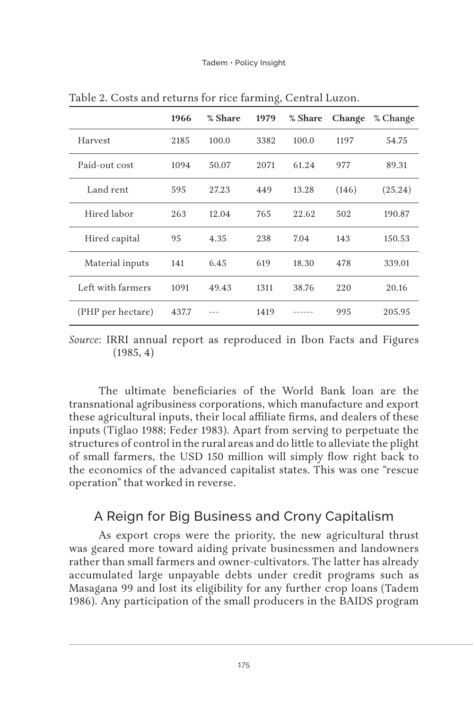|                   | 1966  | % Share | 1979 | % Share | Change | % Change |
|-------------------|-------|---------|------|---------|--------|----------|
| Harvest           | 2185  | 100.0   | 3382 | 100.0   | 1197   | 54.75    |
| Paid-out cost     | 1094  | 50.07   | 2071 | 61.24   | 977    | 89.31    |
| Land rent         | 595   | 27.23   | 449  | 13.28   | (146)  | (25.24)  |
| Hired labor       | 263   | 12.04   | 765  | 22.62   | 502    | 190.87   |
| Hired capital     | 95    | 4.35    | 238  | 7.04    | 143    | 150.53   |
| Material inputs   | 141   | 6.45    | 619  | 18.30   | 478    | 339.01   |
| Left with farmers | 1091  | 49.43   | 1311 | 38.76   | 220    | 20.16    |
| (PHP per hectare) | 437.7 |         | 1419 |         | 995    | 205.95   |

Table 2. Costs and returns for rice farming, Central Luzon.

*Source*: IRRI annual report as reproduced in Ibon Facts and Figures  $(1985, 4)$ 

The ultimate beneficiaries of the World Bank loan are the transnational agribusiness corporations, which manufacture and export these agricultural inputs, their local affiliate firms, and dealers of these inputs (Tiglao 1988; Feder 1983). Apart from serving to perpetuate the structures of control in the rural areas and do little to alleviate the plight of small farmers, the USD 150 million will simply flow right back to the economics of the advanced capitalist states. This was one "rescue operation" that worked in reverse.

### A Reign for Big Business and Crony Capitalism

As export crops were the priority, the new agricultural thrust was geared more toward aiding private businessmen and landowners rather than small farmers and owner-cultivators. The latter has already accumulated large unpayable debts under credit programs such as Masagana 99 and lost its eligibility for any further crop loans (Tadem 1986). Any participation of the small producers in the BAIDS program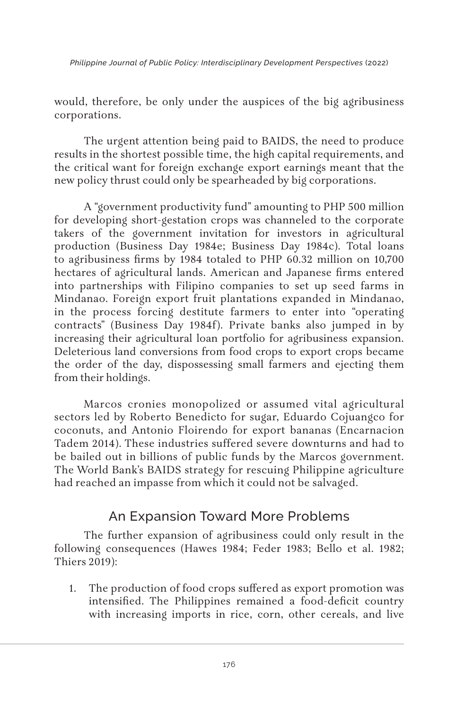*Philippine Journal of Public Policy: Interdisciplinary Development Perspectives* (2022)

would, therefore, be only under the auspices of the big agribusiness corporations.

The urgent attention being paid to BAIDS, the need to produce results in the shortest possible time, the high capital requirements, and the critical want for foreign exchange export earnings meant that the new policy thrust could only be spearheaded by big corporations.

A "government productivity fund" amounting to PHP 500 million for developing short-gestation crops was channeled to the corporate takers of the government invitation for investors in agricultural production (Business Day 1984e; Business Day 1984c). Total loans to agribusiness firms by 1984 totaled to PHP 60.32 million on 10,700 hectares of agricultural lands. American and Japanese firms entered into partnerships with Filipino companies to set up seed farms in Mindanao. Foreign export fruit plantations expanded in Mindanao, in the process forcing destitute farmers to enter into "operating contracts" (Business Day 1984f). Private banks also jumped in by increasing their agricultural loan portfolio for agribusiness expansion. Deleterious land conversions from food crops to export crops became the order of the day, dispossessing small farmers and ejecting them from their holdings.

Marcos cronies monopolized or assumed vital agricultural sectors led by Roberto Benedicto for sugar, Eduardo Cojuangco for coconuts, and Antonio Floirendo for export bananas (Encarnacion Tadem 2014). These industries suffered severe downturns and had to be bailed out in billions of public funds by the Marcos government. The World Bank's BAIDS strategy for rescuing Philippine agriculture had reached an impasse from which it could not be salvaged.

### An Expansion Toward More Problems

The further expansion of agribusiness could only result in the following consequences (Hawes 1984; Feder 1983; Bello et al. 1982; Thiers 2019):

1. The production of food crops suffered as export promotion was intensified. The Philippines remained a food-deficit country with increasing imports in rice, corn, other cereals, and live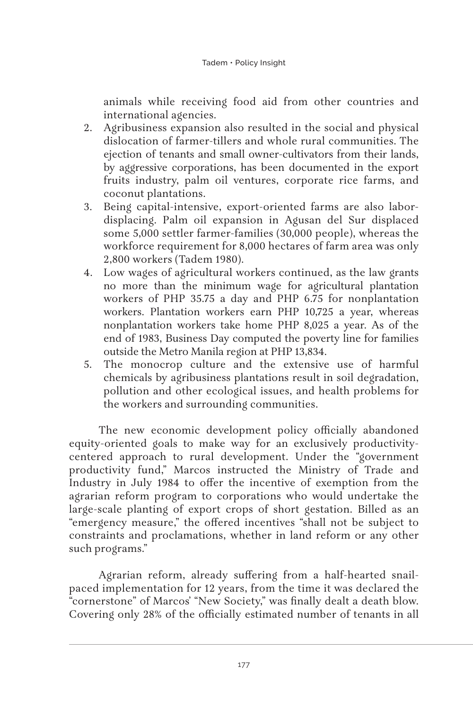animals while receiving food aid from other countries and international agencies.

- 2. Agribusiness expansion also resulted in the social and physical dislocation of farmer-tillers and whole rural communities. The ejection of tenants and small owner-cultivators from their lands, by aggressive corporations, has been documented in the export fruits industry, palm oil ventures, corporate rice farms, and coconut plantations.
- 3. Being capital-intensive, export-oriented farms are also labordisplacing. Palm oil expansion in Agusan del Sur displaced some 5,000 settler farmer-families (30,000 people), whereas the workforce requirement for 8,000 hectares of farm area was only 2,800 workers (Tadem 1980).
- 4. Low wages of agricultural workers continued, as the law grants no more than the minimum wage for agricultural plantation workers of PHP 35.75 a day and PHP 6.75 for nonplantation workers. Plantation workers earn PHP 10,725 a year, whereas nonplantation workers take home PHP 8,025 a year. As of the end of 1983, Business Day computed the poverty line for families outside the Metro Manila region at PHP 13,834.
- 5. The monocrop culture and the extensive use of harmful chemicals by agribusiness plantations result in soil degradation, pollution and other ecological issues, and health problems for the workers and surrounding communities.

The new economic development policy officially abandoned equity-oriented goals to make way for an exclusively productivitycentered approach to rural development. Under the "government productivity fund," Marcos instructed the Ministry of Trade and Industry in July 1984 to offer the incentive of exemption from the agrarian reform program to corporations who would undertake the large-scale planting of export crops of short gestation. Billed as an "emergency measure," the offered incentives "shall not be subject to constraints and proclamations, whether in land reform or any other such programs."

Agrarian reform, already suffering from a half-hearted snailpaced implementation for 12 years, from the time it was declared the "cornerstone" of Marcos' "New Society," was finally dealt a death blow. Covering only 28% of the officially estimated number of tenants in all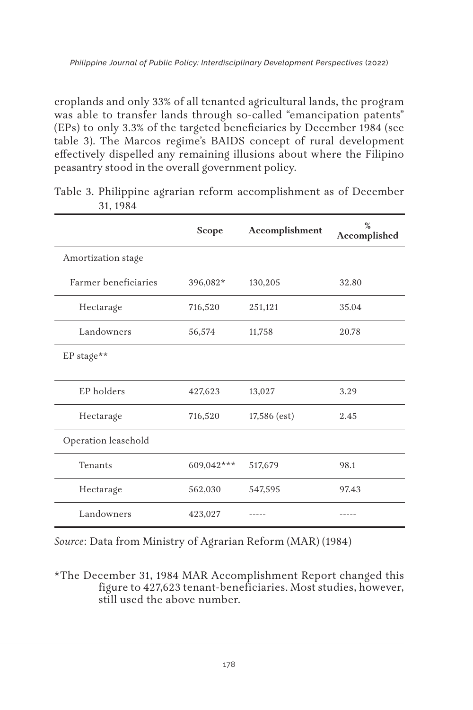croplands and only 33% of all tenanted agricultural lands, the program was able to transfer lands through so-called "emancipation patents" (EPs) to only 3.3% of the targeted beneficiaries by December 1984 (see table 3). The Marcos regime's BAIDS concept of rural development effectively dispelled any remaining illusions about where the Filipino peasantry stood in the overall government policy.

|                      | Scope      | Accomplishment | $\frac{9}{6}$<br>Accomplished |
|----------------------|------------|----------------|-------------------------------|
| Amortization stage   |            |                |                               |
| Farmer beneficiaries | 396,082*   | 130,205        | 32.80                         |
| Hectarage            | 716,520    | 251,121        | 35.04                         |
| Landowners           | 56,574     | 11,758         | 20.78                         |
| EP stage**           |            |                |                               |
| EP holders           | 427,623    | 13,027         | 3.29                          |
| Hectarage            | 716,520    | $17,586$ (est) | 2.45                          |
| Operation leasehold  |            |                |                               |
| Tenants              | 609,042*** | 517,679        | 98.1                          |
| Hectarage            | 562,030    | 547,595        | 97.43                         |
| Landowners           | 423,027    |                |                               |

Table 3. Philippine agrarian reform accomplishment as of December 31, 1984

*Source*: Data from Ministry of Agrarian Reform (MAR) (1984)

\*The December 31, 1984 MAR Accomplishment Report changed this figure to 427,623 tenant-beneficiaries. Most studies, however, still used the above number.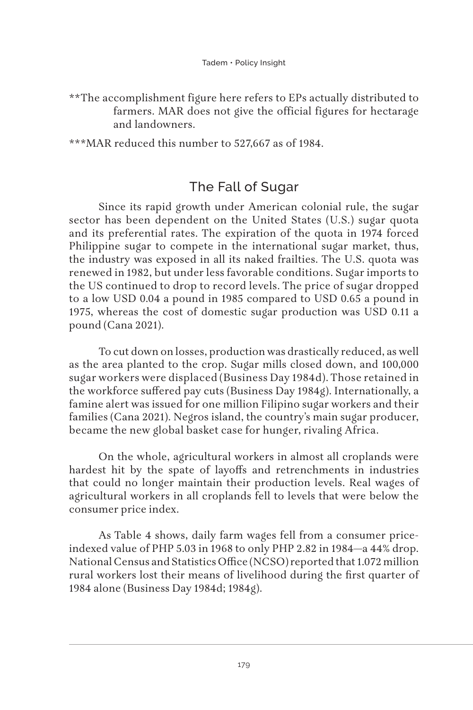\*\*The accomplishment figure here refers to EPs actually distributed to farmers. MAR does not give the official figures for hectarage and landowners.

\*\*\*MAR reduced this number to 527,667 as of 1984.

## The Fall of Sugar

Since its rapid growth under American colonial rule, the sugar sector has been dependent on the United States (U.S.) sugar quota and its preferential rates. The expiration of the quota in 1974 forced Philippine sugar to compete in the international sugar market, thus, the industry was exposed in all its naked frailties. The U.S. quota was renewed in 1982, but under less favorable conditions. Sugar imports to the US continued to drop to record levels. The price of sugar dropped to a low USD 0.04 a pound in 1985 compared to USD 0.65 a pound in 1975, whereas the cost of domestic sugar production was USD 0.11 a pound (Cana 2021).

To cut down on losses, production was drastically reduced, as well as the area planted to the crop. Sugar mills closed down, and 100,000 sugar workers were displaced (Business Day 1984d). Those retained in the workforce suffered pay cuts (Business Day 1984g). Internationally, a famine alert was issued for one million Filipino sugar workers and their families (Cana 2021). Negros island, the country's main sugar producer, became the new global basket case for hunger, rivaling Africa.

On the whole, agricultural workers in almost all croplands were hardest hit by the spate of layoffs and retrenchments in industries that could no longer maintain their production levels. Real wages of agricultural workers in all croplands fell to levels that were below the consumer price index.

As Table 4 shows, daily farm wages fell from a consumer priceindexed value of PHP 5.03 in 1968 to only PHP 2.82 in 1984—a 44% drop. National Census and Statistics Office (NCSO) reported that 1.072 million rural workers lost their means of livelihood during the first quarter of 1984 alone (Business Day 1984d; 1984g).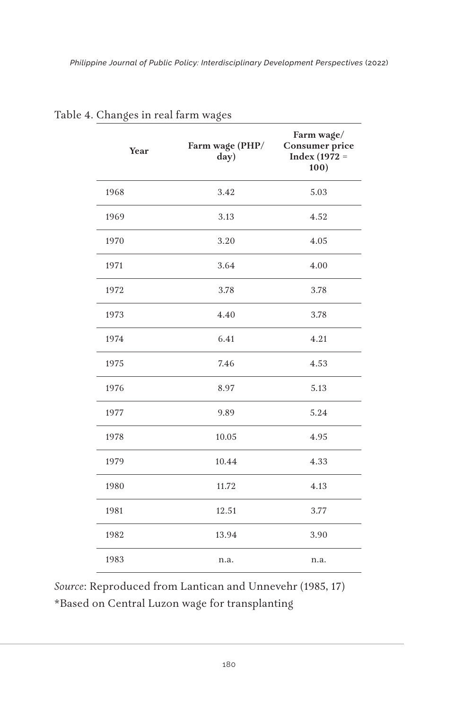| Year | Farm wage (PHP/<br>day) | Farm wage/<br>Consumer price<br>Index (1972 =<br>100) |
|------|-------------------------|-------------------------------------------------------|
| 1968 | 3.42                    | 5.03                                                  |
| 1969 | 3.13                    | 4.52                                                  |
| 1970 | 3.20                    | 4.05                                                  |
| 1971 | 3.64                    | 4.00                                                  |
| 1972 | 3.78                    | 3.78                                                  |
| 1973 | 4.40                    | 3.78                                                  |
| 1974 | 6.41                    | 4.21                                                  |
| 1975 | 7.46                    | 4.53                                                  |
| 1976 | 8.97                    | 5.13                                                  |
| 1977 | 9.89                    | 5.24                                                  |
| 1978 | 10.05                   | 4.95                                                  |
| 1979 | 10.44                   | 4.33                                                  |
| 1980 | 11.72                   | 4.13                                                  |
| 1981 | 12.51                   | 3.77                                                  |
| 1982 | 13.94                   | 3.90                                                  |
| 1983 | n.a.                    | n.a.                                                  |

Table 4. Changes in real farm wages

*Source*: Reproduced from Lantican and Unnevehr (1985, 17) \*Based on Central Luzon wage for transplanting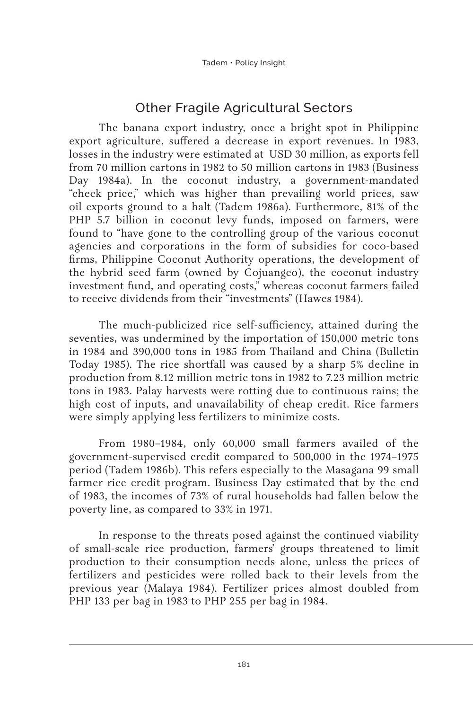# Other Fragile Agricultural Sectors

The banana export industry, once a bright spot in Philippine export agriculture, suffered a decrease in export revenues. In 1983, losses in the industry were estimated at USD 30 million, as exports fell from 70 million cartons in 1982 to 50 million cartons in 1983 (Business Day 1984a). In the coconut industry, a government-mandated "check price," which was higher than prevailing world prices, saw oil exports ground to a halt (Tadem 1986a). Furthermore, 81% of the PHP 5.7 billion in coconut levy funds, imposed on farmers, were found to "have gone to the controlling group of the various coconut agencies and corporations in the form of subsidies for coco-based firms, Philippine Coconut Authority operations, the development of the hybrid seed farm (owned by Cojuangco), the coconut industry investment fund, and operating costs," whereas coconut farmers failed to receive dividends from their "investments" (Hawes 1984).

The much-publicized rice self-sufficiency, attained during the seventies, was undermined by the importation of 150,000 metric tons in 1984 and 390,000 tons in 1985 from Thailand and China (Bulletin Today 1985). The rice shortfall was caused by a sharp 5% decline in production from 8.12 million metric tons in 1982 to 7.23 million metric tons in 1983. Palay harvests were rotting due to continuous rains; the high cost of inputs, and unavailability of cheap credit. Rice farmers were simply applying less fertilizers to minimize costs.

From 1980–1984, only 60,000 small farmers availed of the government-supervised credit compared to 500,000 in the 1974–1975 period (Tadem 1986b). This refers especially to the Masagana 99 small farmer rice credit program. Business Day estimated that by the end of 1983, the incomes of 73% of rural households had fallen below the poverty line, as compared to 33% in 1971.

In response to the threats posed against the continued viability of small-scale rice production, farmers' groups threatened to limit production to their consumption needs alone, unless the prices of fertilizers and pesticides were rolled back to their levels from the previous year (Malaya 1984). Fertilizer prices almost doubled from PHP 133 per bag in 1983 to PHP 255 per bag in 1984.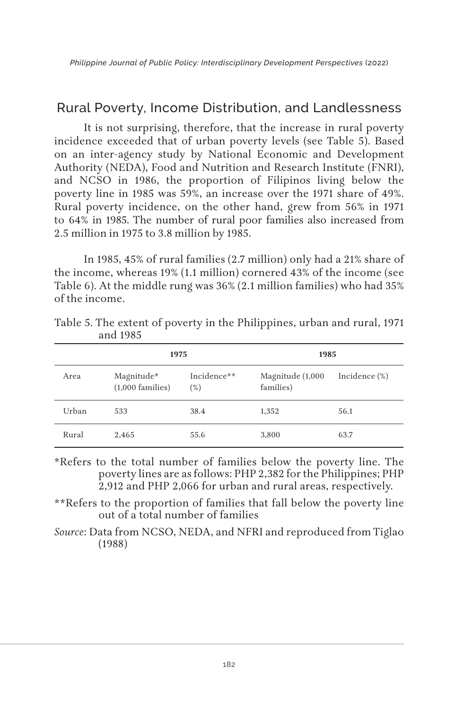### Rural Poverty, Income Distribution, and Landlessness

It is not surprising, therefore, that the increase in rural poverty incidence exceeded that of urban poverty levels (see Table 5). Based on an inter-agency study by National Economic and Development Authority (NEDA), Food and Nutrition and Research Institute (FNRI), and NCSO in 1986, the proportion of Filipinos living below the poverty line in 1985 was 59%, an increase over the 1971 share of 49%. Rural poverty incidence, on the other hand, grew from 56% in 1971 to 64% in 1985. The number of rural poor families also increased from 2.5 million in 1975 to 3.8 million by 1985.

In 1985, 45% of rural families (2.7 million) only had a 21% share of the income, whereas 19% (1.1 million) cornered 43% of the income (see Table 6). At the middle rung was 36% (2.1 million families) who had 35% of the income.

|       | 1975                             |                       | 1985                          |                  |
|-------|----------------------------------|-----------------------|-------------------------------|------------------|
| Area  | Magnitude*<br>$(1,000$ families) | Incidence**<br>$(\%)$ | Magnitude (1,000<br>families) | Incidence $(\%)$ |
| Urban | 533                              | 38.4                  | 1,352                         | 56.1             |
| Rural | 2.465                            | 55.6                  | 3,800                         | 63.7             |

Table 5. The extent of poverty in the Philippines, urban and rural, 1971 and 1985

\*Refers to the total number of families below the poverty line. The poverty lines are as follows: PHP 2,382 for the Philippines; PHP 2,912 and PHP 2,066 for urban and rural areas, respectively.

\*\*Refers to the proportion of families that fall below the poverty line out of a total number of families

*Source*: Data from NCSO, NEDA, and NFRI and reproduced from Tiglao (1988)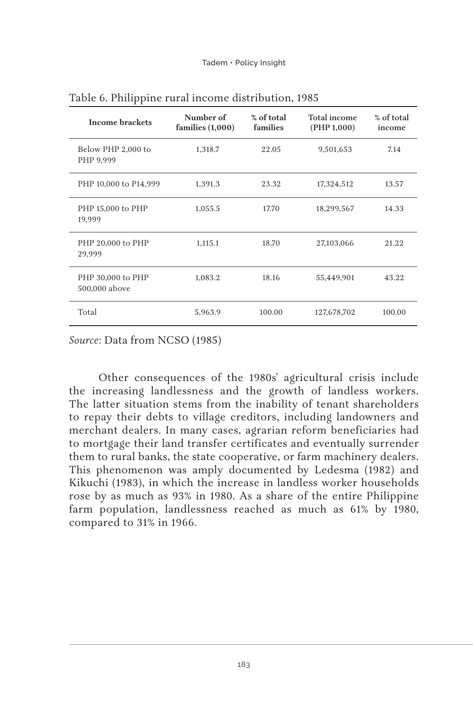| <b>Income brackets</b>             | Number of<br>families $(1,000)$ | % of total<br>families | Total income<br>(PHP 1,000) | % of total<br>income |
|------------------------------------|---------------------------------|------------------------|-----------------------------|----------------------|
| Below PHP 2,000 to<br>PHP 9,999    | 1,318.7                         | 22.05                  | 9,501,653                   | 7.14                 |
| PHP 10,000 to P14,999              | 1,391.3                         | 23.32                  | 17,324,512                  | 13.57                |
| PHP 15,000 to PHP<br>19,999        | 1,055.5                         | 17.70                  | 18,299,567                  | 14.33                |
| PHP 20,000 to PHP<br>29,999        | 1,115.1                         | 18.70                  | 27,103,066                  | 21.22                |
| PHP 30,000 to PHP<br>500,000 above | 1.083.2                         | 18.16                  | 55,449,901                  | 43.22                |
| Total                              | 5.963.9                         | 100.00                 | 127,678,702                 | 100.00               |

Table 6. Philippine rural income distribution, 1985

*Source*: Data from NCSO (1985)

Other consequences of the 1980s' agricultural crisis include the increasing landlessness and the growth of landless workers. The latter situation stems from the inability of tenant shareholders to repay their debts to village creditors, including landowners and merchant dealers. In many cases, agrarian reform beneficiaries had to mortgage their land transfer certificates and eventually surrender them to rural banks, the state cooperative, or farm machinery dealers. This phenomenon was amply documented by Ledesma (1982) and Kikuchi (1983), in which the increase in landless worker households rose by as much as 93% in 1980. As a share of the entire Philippine farm population, landlessness reached as much as 61% by 1980, compared to 31% in 1966.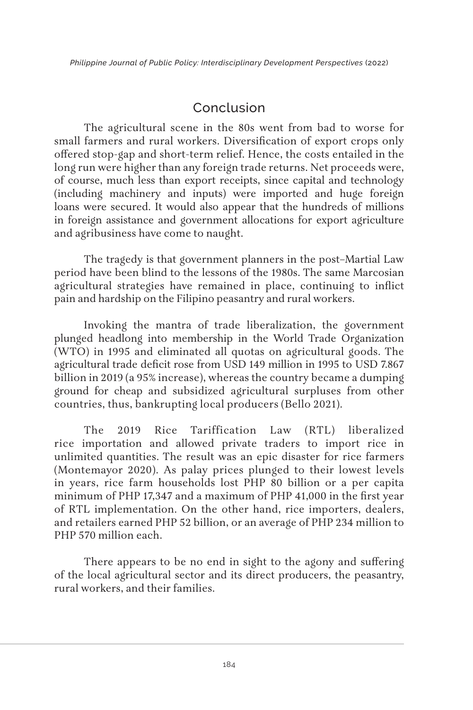# Conclusion

The agricultural scene in the 80s went from bad to worse for small farmers and rural workers. Diversification of export crops only offered stop-gap and short-term relief. Hence, the costs entailed in the long run were higher than any foreign trade returns. Net proceeds were, of course, much less than export receipts, since capital and technology (including machinery and inputs) were imported and huge foreign loans were secured. It would also appear that the hundreds of millions in foreign assistance and government allocations for export agriculture and agribusiness have come to naught.

The tragedy is that government planners in the post–Martial Law period have been blind to the lessons of the 1980s. The same Marcosian agricultural strategies have remained in place, continuing to inflict pain and hardship on the Filipino peasantry and rural workers.

Invoking the mantra of trade liberalization, the government plunged headlong into membership in the World Trade Organization (WTO) in 1995 and eliminated all quotas on agricultural goods. The agricultural trade deficit rose from USD 149 million in 1995 to USD 7.867 billion in 2019 (a 95% increase), whereas the country became a dumping ground for cheap and subsidized agricultural surpluses from other countries, thus, bankrupting local producers (Bello 2021).

The 2019 Rice Tariffication Law (RTL) liberalized rice importation and allowed private traders to import rice in unlimited quantities. The result was an epic disaster for rice farmers (Montemayor 2020). As palay prices plunged to their lowest levels in years, rice farm households lost PHP 80 billion or a per capita minimum of PHP 17,347 and a maximum of PHP 41,000 in the first year of RTL implementation. On the other hand, rice importers, dealers, and retailers earned PHP 52 billion, or an average of PHP 234 million to PHP 570 million each.

There appears to be no end in sight to the agony and suffering of the local agricultural sector and its direct producers, the peasantry, rural workers, and their families.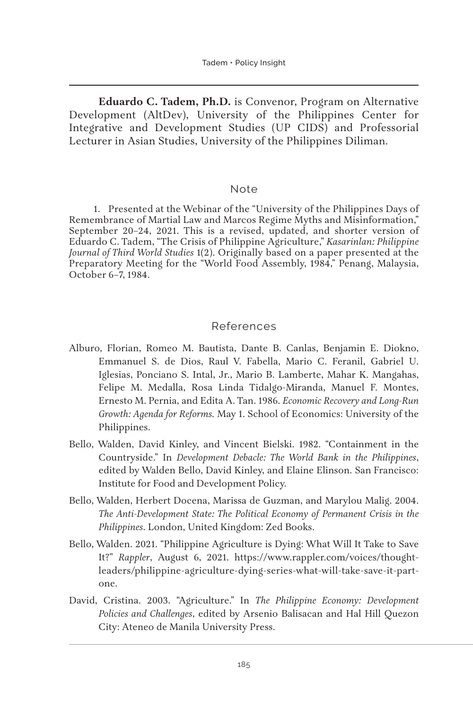**Eduardo C. Tadem, Ph.D.** is Convenor, Program on Alternative Development (AltDev), University of the Philippines Center for Integrative and Development Studies (UP CIDS) and Professorial Lecturer in Asian Studies, University of the Philippines Diliman.

#### Note

1. Presented at the Webinar of the "University of the Philippines Days of Remembrance of Martial Law and Marcos Regime Myths and Misinformation," September 20–24, 2021. This is a revised, updated, and shorter version of Eduardo C. Tadem, "The Crisis of Philippine Agriculture," *Kasarinlan: Philippine Journal of Third World Studies* 1(2). Originally based on a paper presented at the Preparatory Meeting for the "World Food Assembly, 1984," Penang, Malaysia, October 6–7, 1984.

#### References

- Alburo, Florian, Romeo M. Bautista, Dante B. Canlas, Benjamin E. Diokno, Emmanuel S. de Dios, Raul V. Fabella, Mario C. Feranil, Gabriel U. Iglesias, Ponciano S. Intal, Jr., Mario B. Lamberte, Mahar K. Mangahas, Felipe M. Medalla, Rosa Linda Tidalgo-Miranda, Manuel F. Montes, Ernesto M. Pernia, and Edita A. Tan. 1986. *Economic Recovery and Long-Run Growth: Agenda for Reforms.* May 1. School of Economics: University of the Philippines.
- Bello, Walden, David Kinley, and Vincent Bielski. 1982. "Containment in the Countryside." In *Development Debacle: The World Bank in the Philippines*, edited by Walden Bello, David Kinley, and Elaine Elinson. San Francisco: Institute for Food and Development Policy.
- Bello, Walden, Herbert Docena, Marissa de Guzman, and Marylou Malig. 2004. *The Anti-Development State: The Political Economy of Permanent Crisis in the Philippines*. London, United Kingdom: Zed Books.
- Bello, Walden. 2021. "Philippine Agriculture is Dying: What Will It Take to Save It?" *Rappler*, August 6, 2021. https://www.rappler.com/voices/thoughtleaders/philippine-agriculture-dying-series-what-will-take-save-it-partone.
- David, Cristina. 2003. "Agriculture." In *The Philippine Economy: Development Policies and Challenges*, edited by Arsenio Balisacan and Hal Hill Quezon City: Ateneo de Manila University Press.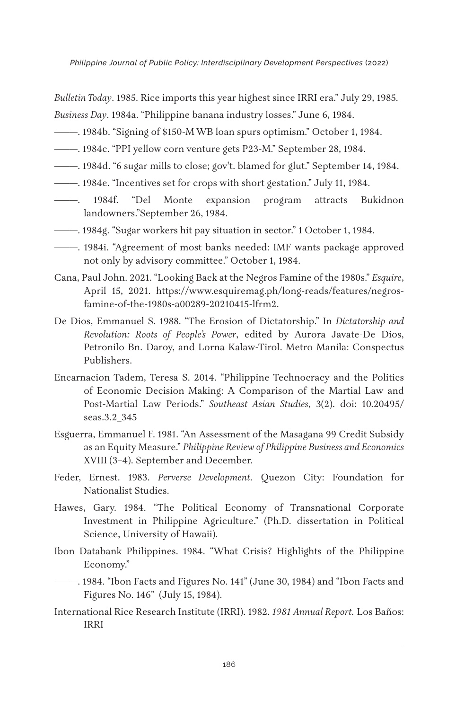*Philippine Journal of Public Policy: Interdisciplinary Development Perspectives* (2022)

*Bulletin Today*. 1985. Rice imports this year highest since IRRI era." July 29, 1985. *Business Day*. 1984a. "Philippine banana industry losses." June 6, 1984.

- ———. 1984b. "Signing of \$150-M WB loan spurs optimism." October 1, 1984.
- ———. 1984c. "PPI yellow corn venture gets P23-M." September 28, 1984.
- ———. 1984d. "6 sugar mills to close; gov't. blamed for glut." September 14, 1984.
- ———. 1984e. "Incentives set for crops with short gestation." July 11, 1984.
- ———. 1984f. "Del Monte expansion program attracts Bukidnon landowners."September 26, 1984.
- ———. 1984g. "Sugar workers hit pay situation in sector." 1 October 1, 1984.
- ———. 1984i. "Agreement of most banks needed: IMF wants package approved not only by advisory committee." October 1, 1984.
- Cana, Paul John. 2021. "Looking Back at the Negros Famine of the 1980s." *Esquire*, April 15, 2021. https://www.esquiremag.ph/long-reads/features/negrosfamine-of-the-1980s-a00289-20210415-lfrm2.
- De Dios, Emmanuel S. 1988. "The Erosion of Dictatorship." In *Dictatorship and Revolution: Roots of People's Power*, edited by Aurora Javate-De Dios, Petronilo Bn. Daroy, and Lorna Kalaw-Tirol. Metro Manila: Conspectus Publishers.
- Encarnacion Tadem, Teresa S. 2014. "Philippine Technocracy and the Politics of Economic Decision Making: A Comparison of the Martial Law and Post-Martial Law Periods." *Southeast Asian Studies*, 3(2). doi: 10.20495/ seas.3.2\_345
- Esguerra, Emmanuel F. 1981. "An Assessment of the Masagana 99 Credit Subsidy as an Equity Measure." *Philippine Review of Philippine Business and Economics* XVIII (3–4). September and December.
- Feder, Ernest. 1983. *Perverse Development.* Quezon City: Foundation for Nationalist Studies.
- Hawes, Gary. 1984. "The Political Economy of Transnational Corporate Investment in Philippine Agriculture." (Ph.D. dissertation in Political Science, University of Hawaii).
- Ibon Databank Philippines. 1984. "What Crisis? Highlights of the Philippine Economy."
- ———. 1984. "Ibon Facts and Figures No. 141" (June 30, 1984) and "Ibon Facts and Figures No. 146" (July 15, 1984).
- International Rice Research Institute (IRRI). 1982. *1981 Annual Report.* Los Baños: IRRI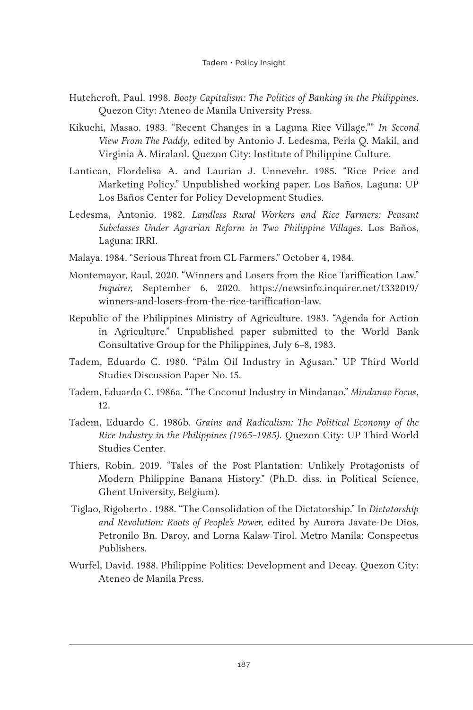- Hutchcroft, Paul. 1998. *Booty Capitalism: The Politics of Banking in the Philippines*. Quezon City: Ateneo de Manila University Press.
- Kikuchi, Masao. 1983. "Recent Changes in a Laguna Rice Village."" *In Second View From The Paddy,* edited by Antonio J. Ledesma, Perla Q. Makil, and Virginia A. Miralaol. Quezon City: Institute of Philippine Culture.
- Lantican, Flordelisa A. and Laurian J. Unnevehr. 1985. "Rice Price and Marketing Policy." Unpublished working paper. Los Baños, Laguna: UP Los Baños Center for Policy Development Studies.
- Ledesma, Antonio. 1982. *Landless Rural Workers and Rice Farmers: Peasant Subclasses Under Agrarian Reform in Two Philippine Villages*. Los Baños, Laguna: IRRI.
- Malaya. 1984. "Serious Threat from CL Farmers." October 4, 1984.
- Montemayor, Raul. 2020. "Winners and Losers from the Rice Tariffication Law." *Inquirer,* September 6, 2020. https://newsinfo.inquirer.net/1332019/ winners-and-losers-from-the-rice-tariffication-law.
- Republic of the Philippines Ministry of Agriculture. 1983. "Agenda for Action in Agriculture." Unpublished paper submitted to the World Bank Consultative Group for the Philippines, July 6–8, 1983.
- Tadem, Eduardo C. 1980. "Palm Oil Industry in Agusan." UP Third World Studies Discussion Paper No. 15.
- Tadem, Eduardo C. 1986a. "The Coconut Industry in Mindanao." *Mindanao Focus*, 12.
- Tadem, Eduardo C. 1986b. *Grains and Radicalism: The Political Economy of the Rice Industry in the Philippines (1965–1985)*. Quezon City: UP Third World Studies Center.
- Thiers, Robin. 2019. "Tales of the Post-Plantation: Unlikely Protagonists of Modern Philippine Banana History." (Ph.D. diss. in Political Science, Ghent University, Belgium).
- Tiglao, Rigoberto . 1988. "The Consolidation of the Dictatorship." In *Dictatorship and Revolution: Roots of People's Power,* edited by Aurora Javate-De Dios, Petronilo Bn. Daroy, and Lorna Kalaw-Tirol. Metro Manila: Conspectus Publishers.
- Wurfel, David. 1988. Philippine Politics: Development and Decay. Quezon City: Ateneo de Manila Press.